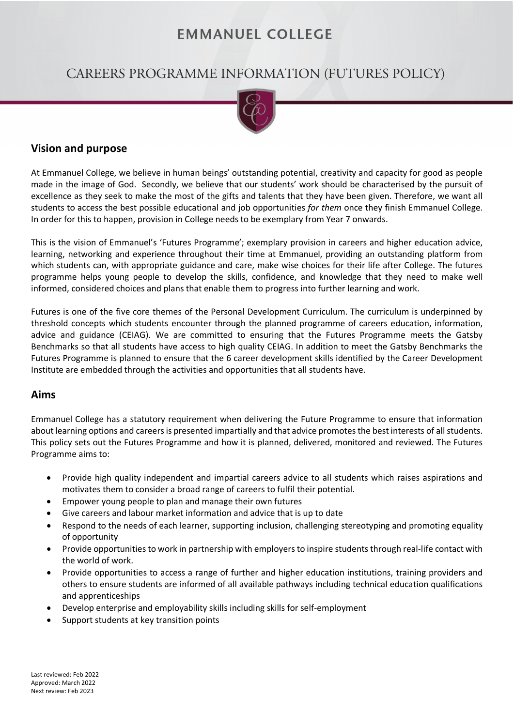# **EMMANUEL COLLEGE**

# CAREERS PROGRAMME INFORMATION (FUTURES POLICY)



### **Vision and purpose**

At Emmanuel College, we believe in human beings' outstanding potential, creativity and capacity for good as people made in the image of God. Secondly, we believe that our students' work should be characterised by the pursuit of excellence as they seek to make the most of the gifts and talents that they have been given. Therefore, we want all students to access the best possible educational and job opportunities *for them* once they finish Emmanuel College. In order for this to happen, provision in College needs to be exemplary from Year 7 onwards.

This is the vision of Emmanuel's 'Futures Programme'; exemplary provision in careers and higher education advice, learning, networking and experience throughout their time at Emmanuel, providing an outstanding platform from which students can, with appropriate guidance and care, make wise choices for their life after College. The futures programme helps young people to develop the skills, confidence, and knowledge that they need to make well informed, considered choices and plans that enable them to progress into further learning and work.

Futures is one of the five core themes of the Personal Development Curriculum. The curriculum is underpinned by threshold concepts which students encounter through the planned programme of careers education, information, advice and guidance (CEIAG). We are committed to ensuring that the Futures Programme meets the Gatsby Benchmarks so that all students have access to high quality CEIAG. In addition to meet the Gatsby Benchmarks the Futures Programme is planned to ensure that the 6 career development skills identified by the Career Development Institute are embedded through the activities and opportunities that all students have.

#### **Aims**

Emmanuel College has a statutory requirement when delivering the Future Programme to ensure that information about learning options and careers is presented impartially and that advice promotes the best interests of all students. This policy sets out the Futures Programme and how it is planned, delivered, monitored and reviewed. The Futures Programme aims to:

- Provide high quality independent and impartial careers advice to all students which raises aspirations and motivates them to consider a broad range of careers to fulfil their potential.
- Empower young people to plan and manage their own futures
- Give careers and labour market information and advice that is up to date
- Respond to the needs of each learner, supporting inclusion, challenging stereotyping and promoting equality of opportunity
- Provide opportunities to work in partnership with employers to inspire students through real-life contact with the world of work.
- Provide opportunities to access a range of further and higher education institutions, training providers and others to ensure students are informed of all available pathways including technical education qualifications and apprenticeships
- Develop enterprise and employability skills including skills for self-employment
- Support students at key transition points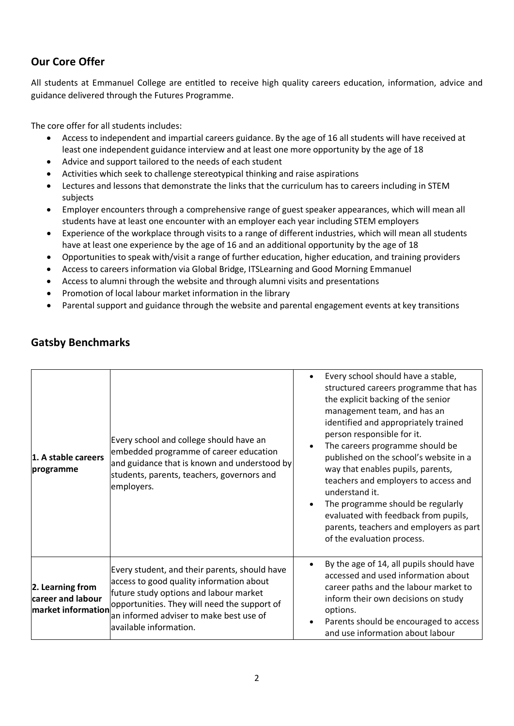# **Our Core Offer**

All students at Emmanuel College are entitled to receive high quality careers education, information, advice and guidance delivered through the Futures Programme.

The core offer for all students includes:

- Access to independent and impartial careers guidance. By the age of 16 all students will have received at least one independent guidance interview and at least one more opportunity by the age of 18
- Advice and support tailored to the needs of each student
- Activities which seek to challenge stereotypical thinking and raise aspirations
- Lectures and lessons that demonstrate the links that the curriculum has to careers including in STEM subjects
- Employer encounters through a comprehensive range of guest speaker appearances, which will mean all students have at least one encounter with an employer each year including STEM employers
- Experience of the workplace through visits to a range of different industries, which will mean all students have at least one experience by the age of 16 and an additional opportunity by the age of 18
- Opportunities to speak with/visit a range of further education, higher education, and training providers
- Access to careers information via Global Bridge, ITSLearning and Good Morning Emmanuel
- Access to alumni through the website and through alumni visits and presentations
- Promotion of local labour market information in the library
- Parental support and guidance through the website and parental engagement events at key transitions

| 1. A stable careers<br>programme                            | Every school and college should have an<br>embedded programme of career education<br>and guidance that is known and understood by<br>students, parents, teachers, governors and<br>employers.                                                            | $\bullet$ | Every school should have a stable,<br>structured careers programme that has<br>the explicit backing of the senior<br>management team, and has an<br>identified and appropriately trained<br>person responsible for it.<br>The careers programme should be<br>published on the school's website in a<br>way that enables pupils, parents,<br>teachers and employers to access and<br>understand it.<br>The programme should be regularly<br>evaluated with feedback from pupils,<br>parents, teachers and employers as part<br>of the evaluation process. |
|-------------------------------------------------------------|----------------------------------------------------------------------------------------------------------------------------------------------------------------------------------------------------------------------------------------------------------|-----------|----------------------------------------------------------------------------------------------------------------------------------------------------------------------------------------------------------------------------------------------------------------------------------------------------------------------------------------------------------------------------------------------------------------------------------------------------------------------------------------------------------------------------------------------------------|
| 2. Learning from<br>career and labour<br>market information | Every student, and their parents, should have<br>access to good quality information about<br>future study options and labour market<br>opportunities. They will need the support of<br>an informed adviser to make best use of<br>available information. | $\bullet$ | By the age of 14, all pupils should have<br>accessed and used information about<br>career paths and the labour market to<br>inform their own decisions on study<br>options.<br>Parents should be encouraged to access<br>and use information about labour                                                                                                                                                                                                                                                                                                |

# **Gatsby Benchmarks**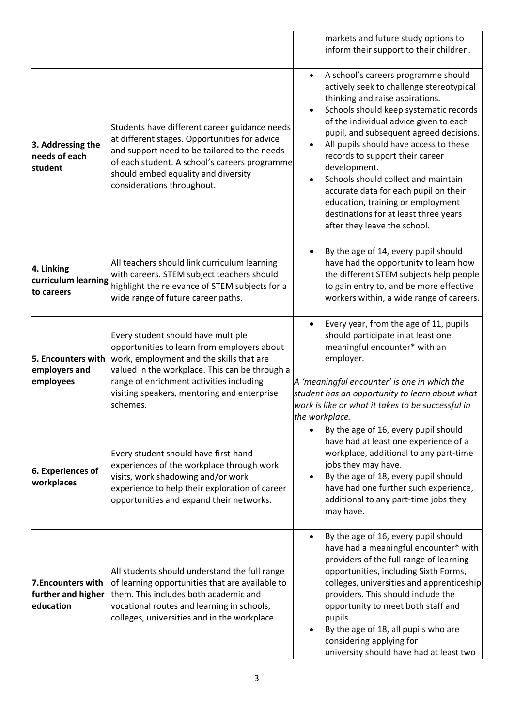|                                                       |                                                                                                                                                                                                                                                                                        | markets and future study options to<br>inform their support to their children.                                                                                                                                                                                                                                                                                                                                                                                                                                                                                                                   |
|-------------------------------------------------------|----------------------------------------------------------------------------------------------------------------------------------------------------------------------------------------------------------------------------------------------------------------------------------------|--------------------------------------------------------------------------------------------------------------------------------------------------------------------------------------------------------------------------------------------------------------------------------------------------------------------------------------------------------------------------------------------------------------------------------------------------------------------------------------------------------------------------------------------------------------------------------------------------|
| 3. Addressing the<br>needs of each<br>student         | Students have different career guidance needs<br>at different stages. Opportunities for advice<br>and support need to be tailored to the needs<br>of each student. A school's careers programme<br>should embed equality and diversity<br>considerations throughout.                   | A school's careers programme should<br>$\bullet$<br>actively seek to challenge stereotypical<br>thinking and raise aspirations.<br>Schools should keep systematic records<br>$\bullet$<br>of the individual advice given to each<br>pupil, and subsequent agreed decisions.<br>All pupils should have access to these<br>$\bullet$<br>records to support their career<br>development.<br>Schools should collect and maintain<br>$\bullet$<br>accurate data for each pupil on their<br>education, training or employment<br>destinations for at least three years<br>after they leave the school. |
| 4. Linking<br>curriculum learning<br>to careers       | All teachers should link curriculum learning<br>with careers. STEM subject teachers should<br>highlight the relevance of STEM subjects for a<br>wide range of future career paths.                                                                                                     | By the age of 14, every pupil should<br>$\bullet$<br>have had the opportunity to learn how<br>the different STEM subjects help people<br>to gain entry to, and be more effective<br>workers within, a wide range of careers.                                                                                                                                                                                                                                                                                                                                                                     |
| 5. Encounters with<br>employers and<br>employees      | Every student should have multiple<br>opportunities to learn from employers about<br>work, employment and the skills that are<br>valued in the workplace. This can be through a<br>range of enrichment activities including<br>visiting speakers, mentoring and enterprise<br>schemes. | Every year, from the age of 11, pupils<br>$\bullet$<br>should participate in at least one<br>meaningful encounter* with an<br>employer.<br>A 'meaningful encounter' is one in which the<br>student has an opportunity to learn about what<br>work is like or what it takes to be successful in<br>the workplace.                                                                                                                                                                                                                                                                                 |
| 6. Experiences of<br>workplaces                       | Every student should have first-hand<br>experiences of the workplace through work<br>visits, work shadowing and/or work<br>experience to help their exploration of career<br>opportunities and expand their networks.                                                                  | By the age of 16, every pupil should<br>$\bullet$<br>have had at least one experience of a<br>workplace, additional to any part-time<br>jobs they may have.<br>By the age of 18, every pupil should<br>$\bullet$<br>have had one further such experience,<br>additional to any part-time jobs they<br>may have.                                                                                                                                                                                                                                                                                  |
| 7. Encounters with<br>further and higher<br>education | All students should understand the full range<br>of learning opportunities that are available to<br>them. This includes both academic and<br>vocational routes and learning in schools,<br>colleges, universities and in the workplace.                                                | By the age of 16, every pupil should<br>$\bullet$<br>have had a meaningful encounter* with<br>providers of the full range of learning<br>opportunities, including Sixth Forms,<br>colleges, universities and apprenticeship<br>providers. This should include the<br>opportunity to meet both staff and<br>pupils.<br>By the age of 18, all pupils who are<br>$\bullet$<br>considering applying for<br>university should have had at least two                                                                                                                                                   |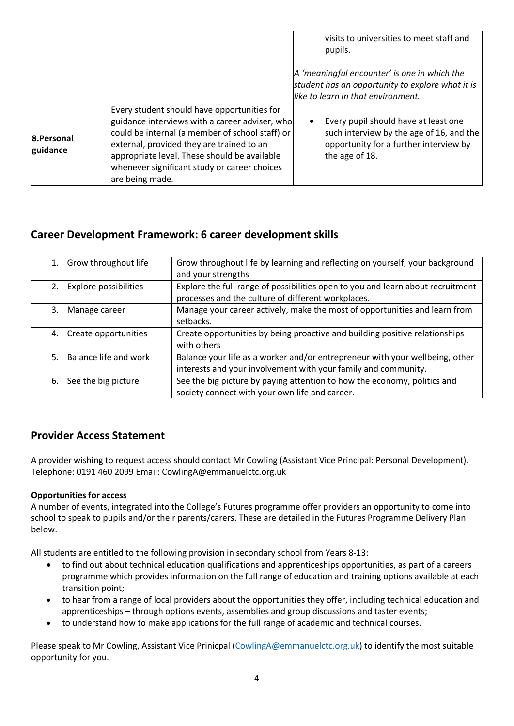|                        |                                                                                                                                                                                                                                                                                                                  | visits to universities to meet staff and<br>pupils.                                                                                                       |
|------------------------|------------------------------------------------------------------------------------------------------------------------------------------------------------------------------------------------------------------------------------------------------------------------------------------------------------------|-----------------------------------------------------------------------------------------------------------------------------------------------------------|
|                        |                                                                                                                                                                                                                                                                                                                  | A 'meaningful encounter' is one in which the<br>student has an opportunity to explore what it is<br>like to learn in that environment.                    |
| 8.Personal<br>guidance | Every student should have opportunities for<br>guidance interviews with a career adviser, who<br>could be internal (a member of school staff) or<br>external, provided they are trained to an<br>appropriate level. These should be available<br>whenever significant study or career choices<br>are being made. | Every pupil should have at least one<br>$\bullet$<br>such interview by the age of 16, and the<br>opportunity for a further interview by<br>the age of 18. |

# **Career Development Framework: 6 career development skills**

|    | 1. Grow throughout life  | Grow throughout life by learning and reflecting on yourself, your background<br>and your strengths                                             |
|----|--------------------------|------------------------------------------------------------------------------------------------------------------------------------------------|
| 2. | Explore possibilities    | Explore the full range of possibilities open to you and learn about recruitment<br>processes and the culture of different workplaces.          |
| 3. | Manage career            | Manage your career actively, make the most of opportunities and learn from<br>setbacks.                                                        |
| 4. | Create opportunities     | Create opportunities by being proactive and building positive relationships<br>with others                                                     |
|    | 5. Balance life and work | Balance your life as a worker and/or entrepreneur with your wellbeing, other<br>interests and your involvement with your family and community. |
|    | 6. See the big picture   | See the big picture by paying attention to how the economy, politics and<br>society connect with your own life and career.                     |

## **Provider Access Statement**

A provider wishing to request access should contact Mr Cowling (Assistant Vice Principal: Personal Development). Telephone: 0191 460 2099 Email: CowlingA@emmanuelctc.org.uk

#### **Opportunities for access**

A number of events, integrated into the College's Futures programme offer providers an opportunity to come into school to speak to pupils and/or their parents/carers. These are detailed in the Futures Programme Delivery Plan below.

All students are entitled to the following provision in secondary school from Years 8-13:

- to find out about technical education qualifications and apprenticeships opportunities, as part of a careers programme which provides information on the full range of education and training options available at each transition point;
- to hear from a range of local providers about the opportunities they offer, including technical education and apprenticeships – through options events, assemblies and group discussions and taster events;
- to understand how to make applications for the full range of academic and technical courses.

Please speak to Mr Cowling, Assistant Vice Prinicpal [\(CowlingA@emmanuelctc.org.uk\)](mailto:CowlingA@emmanuelctc.org.uk) to identify the most suitable opportunity for you.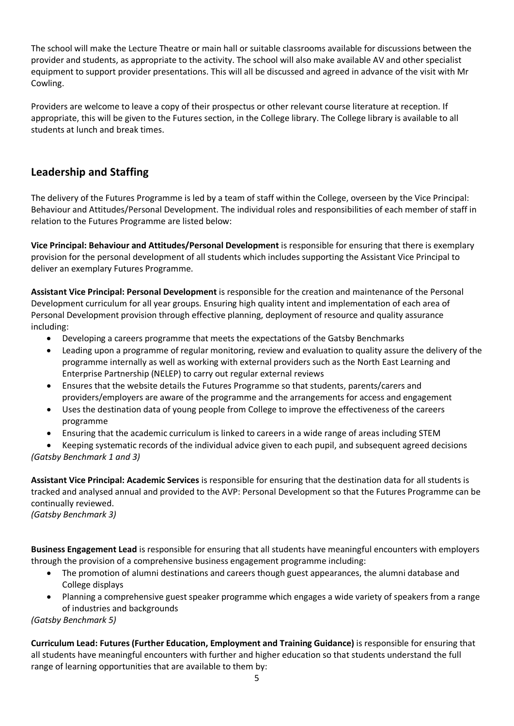The school will make the Lecture Theatre or main hall or suitable classrooms available for discussions between the provider and students, as appropriate to the activity. The school will also make available AV and other specialist equipment to support provider presentations. This will all be discussed and agreed in advance of the visit with Mr Cowling.

Providers are welcome to leave a copy of their prospectus or other relevant course literature at reception. If appropriate, this will be given to the Futures section, in the College library. The College library is available to all students at lunch and break times.

# **Leadership and Staffing**

The delivery of the Futures Programme is led by a team of staff within the College, overseen by the Vice Principal: Behaviour and Attitudes/Personal Development. The individual roles and responsibilities of each member of staff in relation to the Futures Programme are listed below:

**Vice Principal: Behaviour and Attitudes/Personal Development** is responsible for ensuring that there is exemplary provision for the personal development of all students which includes supporting the Assistant Vice Principal to deliver an exemplary Futures Programme.

**Assistant Vice Principal: Personal Development** is responsible for the creation and maintenance of the Personal Development curriculum for all year groups. Ensuring high quality intent and implementation of each area of Personal Development provision through effective planning, deployment of resource and quality assurance including:

- Developing a careers programme that meets the expectations of the Gatsby Benchmarks
- Leading upon a programme of regular monitoring, review and evaluation to quality assure the delivery of the programme internally as well as working with external providers such as the North East Learning and Enterprise Partnership (NELEP) to carry out regular external reviews
- Ensures that the website details the Futures Programme so that students, parents/carers and providers/employers are aware of the programme and the arrangements for access and engagement
- Uses the destination data of young people from College to improve the effectiveness of the careers programme
- Ensuring that the academic curriculum is linked to careers in a wide range of areas including STEM
- Keeping systematic records of the individual advice given to each pupil, and subsequent agreed decisions *(Gatsby Benchmark 1 and 3)*

**Assistant Vice Principal: Academic Services** is responsible for ensuring that the destination data for all students is tracked and analysed annual and provided to the AVP: Personal Development so that the Futures Programme can be continually reviewed.

*(Gatsby Benchmark 3)* 

**Business Engagement Lead** is responsible for ensuring that all students have meaningful encounters with employers through the provision of a comprehensive business engagement programme including:

- The promotion of alumni destinations and careers though guest appearances, the alumni database and College displays
- Planning a comprehensive guest speaker programme which engages a wide variety of speakers from a range of industries and backgrounds

*(Gatsby Benchmark 5)*

**Curriculum Lead: Futures (Further Education, Employment and Training Guidance)** is responsible for ensuring that all students have meaningful encounters with further and higher education so that students understand the full range of learning opportunities that are available to them by: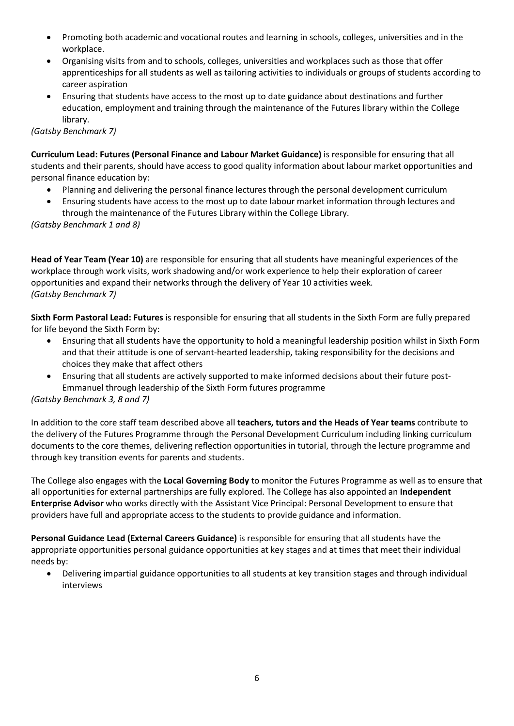- Promoting both academic and vocational routes and learning in schools, colleges, universities and in the workplace.
- Organising visits from and to schools, colleges, universities and workplaces such as those that offer apprenticeships for all students as well as tailoring activities to individuals or groups of students according to career aspiration
- Ensuring that students have access to the most up to date guidance about destinations and further education, employment and training through the maintenance of the Futures library within the College library.

#### *(Gatsby Benchmark 7)*

**Curriculum Lead: Futures (Personal Finance and Labour Market Guidance)** is responsible for ensuring that all students and their parents, should have access to good quality information about labour market opportunities and personal finance education by:

- Planning and delivering the personal finance lectures through the personal development curriculum
- Ensuring students have access to the most up to date labour market information through lectures and through the maintenance of the Futures Library within the College Library.

#### *(Gatsby Benchmark 1 and 8)*

**Head of Year Team (Year 10)** are responsible for ensuring that all students have meaningful experiences of the workplace through work visits, work shadowing and/or work experience to help their exploration of career opportunities and expand their networks through the delivery of Year 10 activities week. *(Gatsby Benchmark 7)*

**Sixth Form Pastoral Lead: Futures** is responsible for ensuring that all students in the Sixth Form are fully prepared for life beyond the Sixth Form by:

- Ensuring that all students have the opportunity to hold a meaningful leadership position whilst in Sixth Form and that their attitude is one of servant-hearted leadership, taking responsibility for the decisions and choices they make that affect others
- Ensuring that all students are actively supported to make informed decisions about their future post-Emmanuel through leadership of the Sixth Form futures programme

#### *(Gatsby Benchmark 3, 8 and 7)*

In addition to the core staff team described above all **teachers, tutors and the Heads of Year teams** contribute to the delivery of the Futures Programme through the Personal Development Curriculum including linking curriculum documents to the core themes, delivering reflection opportunities in tutorial, through the lecture programme and through key transition events for parents and students.

The College also engages with the **Local Governing Body** to monitor the Futures Programme as well as to ensure that all opportunities for external partnerships are fully explored. The College has also appointed an **Independent Enterprise Advisor** who works directly with the Assistant Vice Principal: Personal Development to ensure that providers have full and appropriate access to the students to provide guidance and information.

**Personal Guidance Lead (External Careers Guidance)** is responsible for ensuring that all students have the appropriate opportunities personal guidance opportunities at key stages and at times that meet their individual needs by:

• Delivering impartial guidance opportunities to all students at key transition stages and through individual interviews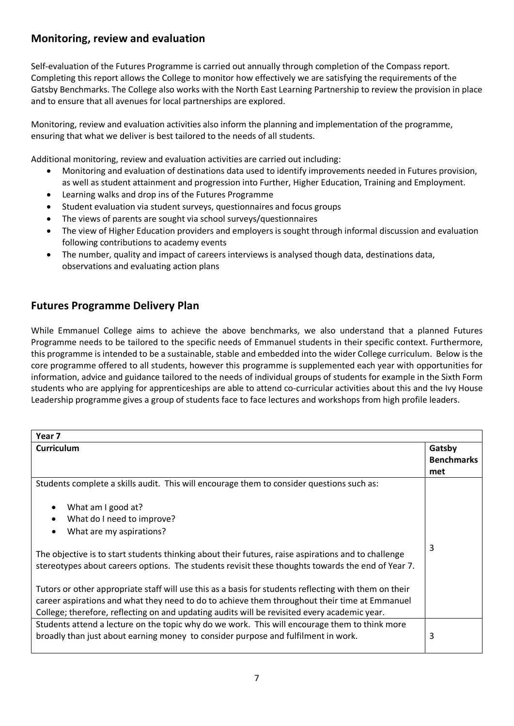## **Monitoring, review and evaluation**

Self-evaluation of the Futures Programme is carried out annually through completion of the Compass report. Completing this report allows the College to monitor how effectively we are satisfying the requirements of the Gatsby Benchmarks. The College also works with the North East Learning Partnership to review the provision in place and to ensure that all avenues for local partnerships are explored.

Monitoring, review and evaluation activities also inform the planning and implementation of the programme, ensuring that what we deliver is best tailored to the needs of all students.

Additional monitoring, review and evaluation activities are carried out including:

- Monitoring and evaluation of destinations data used to identify improvements needed in Futures provision, as well as student attainment and progression into Further, Higher Education, Training and Employment.
- Learning walks and drop ins of the Futures Programme
- Student evaluation via student surveys, questionnaires and focus groups
- The views of parents are sought via school surveys/questionnaires
- The view of Higher Education providers and employers is sought through informal discussion and evaluation following contributions to academy events
- The number, quality and impact of careers interviews is analysed though data, destinations data, observations and evaluating action plans

# **Futures Programme Delivery Plan**

While Emmanuel College aims to achieve the above benchmarks, we also understand that a planned Futures Programme needs to be tailored to the specific needs of Emmanuel students in their specific context. Furthermore, this programme is intended to be a sustainable, stable and embedded into the wider College curriculum. Below is the core programme offered to all students, however this programme is supplemented each year with opportunities for information, advice and guidance tailored to the needs of individual groups of students for example in the Sixth Form students who are applying for apprenticeships are able to attend co-curricular activities about this and the Ivy House Leadership programme gives a group of students face to face lectures and workshops from high profile leaders.

| Year 7                                                                                                                                                                                                                                                                                                 |                   |
|--------------------------------------------------------------------------------------------------------------------------------------------------------------------------------------------------------------------------------------------------------------------------------------------------------|-------------------|
| <b>Curriculum</b>                                                                                                                                                                                                                                                                                      | Gatsby            |
|                                                                                                                                                                                                                                                                                                        | <b>Benchmarks</b> |
|                                                                                                                                                                                                                                                                                                        | met               |
| Students complete a skills audit. This will encourage them to consider questions such as:                                                                                                                                                                                                              |                   |
| What am I good at?<br>$\bullet$                                                                                                                                                                                                                                                                        |                   |
| What do I need to improve?<br>$\bullet$                                                                                                                                                                                                                                                                |                   |
| What are my aspirations?<br>$\bullet$                                                                                                                                                                                                                                                                  |                   |
| The objective is to start students thinking about their futures, raise aspirations and to challenge<br>stereotypes about careers options. The students revisit these thoughts towards the end of Year 7.                                                                                               | 3                 |
| Tutors or other appropriate staff will use this as a basis for students reflecting with them on their<br>career aspirations and what they need to do to achieve them throughout their time at Emmanuel<br>College; therefore, reflecting on and updating audits will be revisited every academic year. |                   |
| Students attend a lecture on the topic why do we work. This will encourage them to think more<br>broadly than just about earning money to consider purpose and fulfilment in work.                                                                                                                     | 3                 |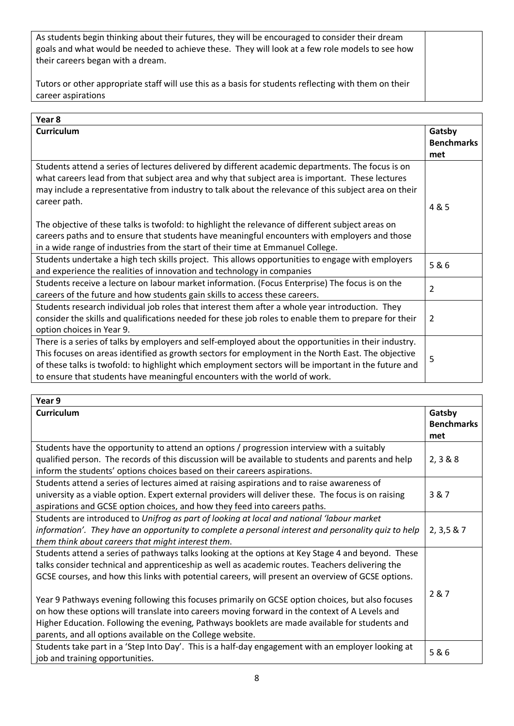As students begin thinking about their futures, they will be encouraged to consider their dream goals and what would be needed to achieve these. They will look at a few role models to see how their careers began with a dream.

Tutors or other appropriate staff will use this as a basis for students reflecting with them on their career aspirations

| Year 8                                                                                                |                   |
|-------------------------------------------------------------------------------------------------------|-------------------|
| <b>Curriculum</b>                                                                                     | Gatsby            |
|                                                                                                       | <b>Benchmarks</b> |
|                                                                                                       | met               |
| Students attend a series of lectures delivered by different academic departments. The focus is on     |                   |
| what careers lead from that subject area and why that subject area is important. These lectures       |                   |
| may include a representative from industry to talk about the relevance of this subject area on their  |                   |
| career path.                                                                                          | 4 & 5             |
|                                                                                                       |                   |
| The objective of these talks is twofold: to highlight the relevance of different subject areas on     |                   |
| careers paths and to ensure that students have meaningful encounters with employers and those         |                   |
| in a wide range of industries from the start of their time at Emmanuel College.                       |                   |
| Students undertake a high tech skills project. This allows opportunities to engage with employers     | 5&6               |
| and experience the realities of innovation and technology in companies                                |                   |
| Students receive a lecture on labour market information. (Focus Enterprise) The focus is on the       | $\overline{2}$    |
| careers of the future and how students gain skills to access these careers.                           |                   |
| Students research individual job roles that interest them after a whole year introduction. They       |                   |
| consider the skills and qualifications needed for these job roles to enable them to prepare for their | $\overline{2}$    |
| option choices in Year 9.                                                                             |                   |
| There is a series of talks by employers and self-employed about the opportunities in their industry.  |                   |
| This focuses on areas identified as growth sectors for employment in the North East. The objective    | 5                 |
| of these talks is twofold: to highlight which employment sectors will be important in the future and  |                   |
| to ensure that students have meaningful encounters with the world of work.                            |                   |

| Year 9                                                                                               |                   |
|------------------------------------------------------------------------------------------------------|-------------------|
| <b>Curriculum</b>                                                                                    | Gatsby            |
|                                                                                                      | <b>Benchmarks</b> |
|                                                                                                      | met               |
| Students have the opportunity to attend an options / progression interview with a suitably           |                   |
| qualified person. The records of this discussion will be available to students and parents and help  | 2, 3 & 8 & 8      |
| inform the students' options choices based on their careers aspirations.                             |                   |
| Students attend a series of lectures aimed at raising aspirations and to raise awareness of          |                   |
| university as a viable option. Expert external providers will deliver these. The focus is on raising | 3&7               |
| aspirations and GCSE option choices, and how they feed into careers paths.                           |                   |
| Students are introduced to Unifrog as part of looking at local and national 'labour market           |                   |
| information'. They have an opportunity to complete a personal interest and personality quiz to help  | 2, 3, 5 & 7       |
| them think about careers that might interest them.                                                   |                   |
| Students attend a series of pathways talks looking at the options at Key Stage 4 and beyond. These   |                   |
| talks consider technical and apprenticeship as well as academic routes. Teachers delivering the      |                   |
| GCSE courses, and how this links with potential careers, will present an overview of GCSE options.   |                   |
|                                                                                                      | 2 & 7             |
| Year 9 Pathways evening following this focuses primarily on GCSE option choices, but also focuses    |                   |
| on how these options will translate into careers moving forward in the context of A Levels and       |                   |
| Higher Education. Following the evening, Pathways booklets are made available for students and       |                   |
| parents, and all options available on the College website.                                           |                   |
| Students take part in a 'Step Into Day'. This is a half-day engagement with an employer looking at   | 5&6               |
| job and training opportunities.                                                                      |                   |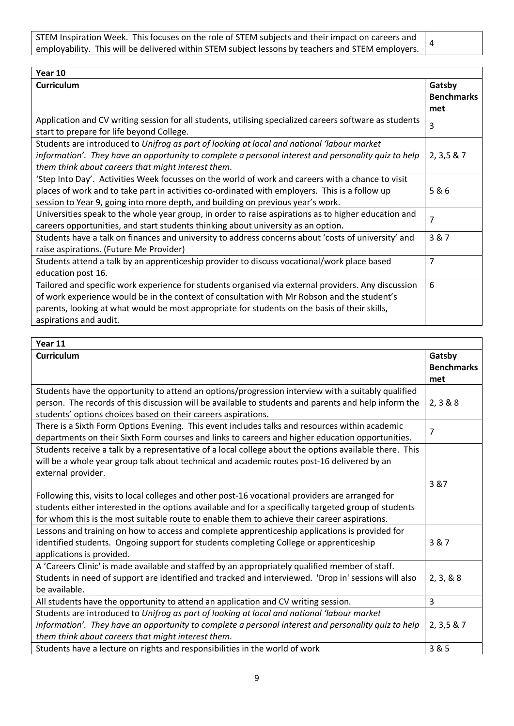| STEM Inspiration Week. This focuses on the role of STEM subjects and their impact on careers and  |  |
|---------------------------------------------------------------------------------------------------|--|
| employability. This will be delivered within STEM subject lessons by teachers and STEM employers. |  |

 $\Gamma$ 

| Year 10                                                                                                                                                                                                                                                                                                                       |                                    |
|-------------------------------------------------------------------------------------------------------------------------------------------------------------------------------------------------------------------------------------------------------------------------------------------------------------------------------|------------------------------------|
| <b>Curriculum</b>                                                                                                                                                                                                                                                                                                             | Gatsby<br><b>Benchmarks</b><br>met |
| Application and CV writing session for all students, utilising specialized careers software as students<br>start to prepare for life beyond College.                                                                                                                                                                          | 3                                  |
| Students are introduced to Unifrog as part of looking at local and national 'labour market<br>information'. They have an opportunity to complete a personal interest and personality quiz to help<br>them think about careers that might interest them.                                                                       | 2, 3, 5 & 7                        |
| 'Step Into Day'. Activities Week focusses on the world of work and careers with a chance to visit<br>places of work and to take part in activities co-ordinated with employers. This is a follow up<br>session to Year 9, going into more depth, and building on previous year's work.                                        | 5&6                                |
| Universities speak to the whole year group, in order to raise aspirations as to higher education and<br>careers opportunities, and start students thinking about university as an option.                                                                                                                                     | 7                                  |
| Students have a talk on finances and university to address concerns about 'costs of university' and<br>raise aspirations. (Future Me Provider)                                                                                                                                                                                | 3&7                                |
| Students attend a talk by an apprenticeship provider to discuss vocational/work place based<br>education post 16.                                                                                                                                                                                                             | 7                                  |
| Tailored and specific work experience for students organised via external providers. Any discussion<br>of work experience would be in the context of consultation with Mr Robson and the student's<br>parents, looking at what would be most appropriate for students on the basis of their skills,<br>aspirations and audit. | 6                                  |

| Year 11                                                                                                                                                                                                                                                                                                   |                                    |
|-----------------------------------------------------------------------------------------------------------------------------------------------------------------------------------------------------------------------------------------------------------------------------------------------------------|------------------------------------|
| Curriculum                                                                                                                                                                                                                                                                                                | Gatsby<br><b>Benchmarks</b><br>met |
| Students have the opportunity to attend an options/progression interview with a suitably qualified<br>person. The records of this discussion will be available to students and parents and help inform the<br>students' options choices based on their careers aspirations.                               | 2, 3 & 8 & 8                       |
| There is a Sixth Form Options Evening. This event includes talks and resources within academic<br>departments on their Sixth Form courses and links to careers and higher education opportunities.                                                                                                        | $\overline{7}$                     |
| Students receive a talk by a representative of a local college about the options available there. This<br>will be a whole year group talk about technical and academic routes post-16 delivered by an<br>external provider.                                                                               | 3 & 7                              |
| Following this, visits to local colleges and other post-16 vocational providers are arranged for<br>students either interested in the options available and for a specifically targeted group of students<br>for whom this is the most suitable route to enable them to achieve their career aspirations. |                                    |
| Lessons and training on how to access and complete apprenticeship applications is provided for<br>identified students. Ongoing support for students completing College or apprenticeship<br>applications is provided.                                                                                     | 3&7                                |
| A 'Careers Clinic' is made available and staffed by an appropriately qualified member of staff.<br>Students in need of support are identified and tracked and interviewed. 'Drop in' sessions will also<br>be available.                                                                                  | 2, 3, 8, 8                         |
| All students have the opportunity to attend an application and CV writing session.                                                                                                                                                                                                                        | 3                                  |
| Students are introduced to Unifrog as part of looking at local and national 'labour market<br>information'. They have an opportunity to complete a personal interest and personality quiz to help<br>them think about careers that might interest them.                                                   | 2, 3, 5 & 7                        |
| Students have a lecture on rights and responsibilities in the world of work                                                                                                                                                                                                                               | 3 & 5                              |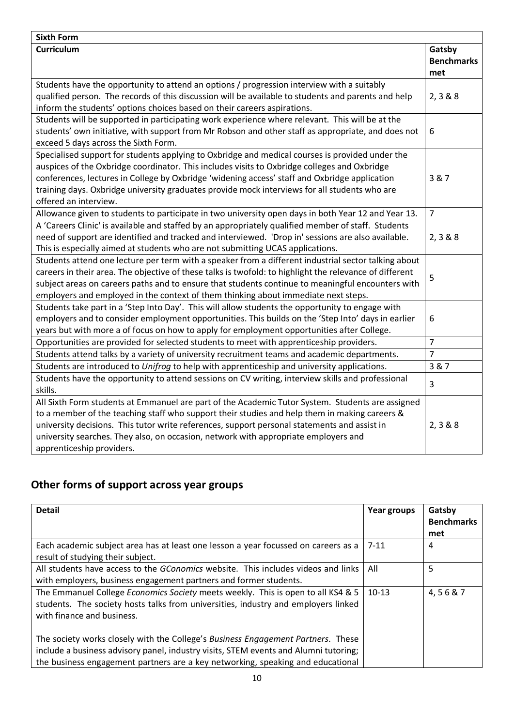| <b>Sixth Form</b>                                                                                       |                             |
|---------------------------------------------------------------------------------------------------------|-----------------------------|
| <b>Curriculum</b>                                                                                       | Gatsby<br><b>Benchmarks</b> |
|                                                                                                         | met                         |
| Students have the opportunity to attend an options / progression interview with a suitably              |                             |
| qualified person. The records of this discussion will be available to students and parents and help     | 2, 3 & 8 & 8                |
| inform the students' options choices based on their careers aspirations.                                |                             |
| Students will be supported in participating work experience where relevant. This will be at the         |                             |
| students' own initiative, with support from Mr Robson and other staff as appropriate, and does not      | 6                           |
| exceed 5 days across the Sixth Form.                                                                    |                             |
| Specialised support for students applying to Oxbridge and medical courses is provided under the         |                             |
| auspices of the Oxbridge coordinator. This includes visits to Oxbridge colleges and Oxbridge            |                             |
| conferences, lectures in College by Oxbridge 'widening access' staff and Oxbridge application           | 3 & 7                       |
| training days. Oxbridge university graduates provide mock interviews for all students who are           |                             |
| offered an interview.                                                                                   |                             |
| Allowance given to students to participate in two university open days in both Year 12 and Year 13.     | $\overline{7}$              |
| A 'Careers Clinic' is available and staffed by an appropriately qualified member of staff. Students     |                             |
| need of support are identified and tracked and interviewed. 'Drop in' sessions are also available.      | 2, 3 & 8 & 8                |
| This is especially aimed at students who are not submitting UCAS applications.                          |                             |
| Students attend one lecture per term with a speaker from a different industrial sector talking about    |                             |
| careers in their area. The objective of these talks is twofold: to highlight the relevance of different | 5                           |
| subject areas on careers paths and to ensure that students continue to meaningful encounters with       |                             |
| employers and employed in the context of them thinking about immediate next steps.                      |                             |
| Students take part in a 'Step Into Day'. This will allow students the opportunity to engage with        |                             |
| employers and to consider employment opportunities. This builds on the 'Step Into' days in earlier      | 6                           |
| years but with more a of focus on how to apply for employment opportunities after College.              |                             |
| Opportunities are provided for selected students to meet with apprenticeship providers.                 | $\overline{7}$              |
| Students attend talks by a variety of university recruitment teams and academic departments.            | $\overline{7}$              |
| Students are introduced to Unifrog to help with apprenticeship and university applications.             | 3 & 7                       |
| Students have the opportunity to attend sessions on CV writing, interview skills and professional       | $\overline{3}$              |
| skills.                                                                                                 |                             |
| All Sixth Form students at Emmanuel are part of the Academic Tutor System. Students are assigned        |                             |
| to a member of the teaching staff who support their studies and help them in making careers &           |                             |
| university decisions. This tutor write references, support personal statements and assist in            | 2, 3 & 8 & 8                |
| university searches. They also, on occasion, network with appropriate employers and                     |                             |
| apprenticeship providers.                                                                               |                             |

# **Other forms of support across year groups**

| <b>Detail</b>                                                                                                                                                                                                                                               | Year groups | Gatsby<br><b>Benchmarks</b><br>met |
|-------------------------------------------------------------------------------------------------------------------------------------------------------------------------------------------------------------------------------------------------------------|-------------|------------------------------------|
| Each academic subject area has at least one lesson a year focussed on careers as a<br>result of studying their subject.                                                                                                                                     | $7 - 11$    | 4                                  |
| All students have access to the GConomics website. This includes videos and links<br>with employers, business engagement partners and former students.                                                                                                      | All         | 5                                  |
| The Emmanuel College Economics Society meets weekly. This is open to all KS4 & 5<br>students. The society hosts talks from universities, industry and employers linked<br>with finance and business.                                                        | $10-13$     | 4,56&7                             |
| The society works closely with the College's Business Engagement Partners. These<br>include a business advisory panel, industry visits, STEM events and Alumni tutoring;<br>the business engagement partners are a key networking, speaking and educational |             |                                    |